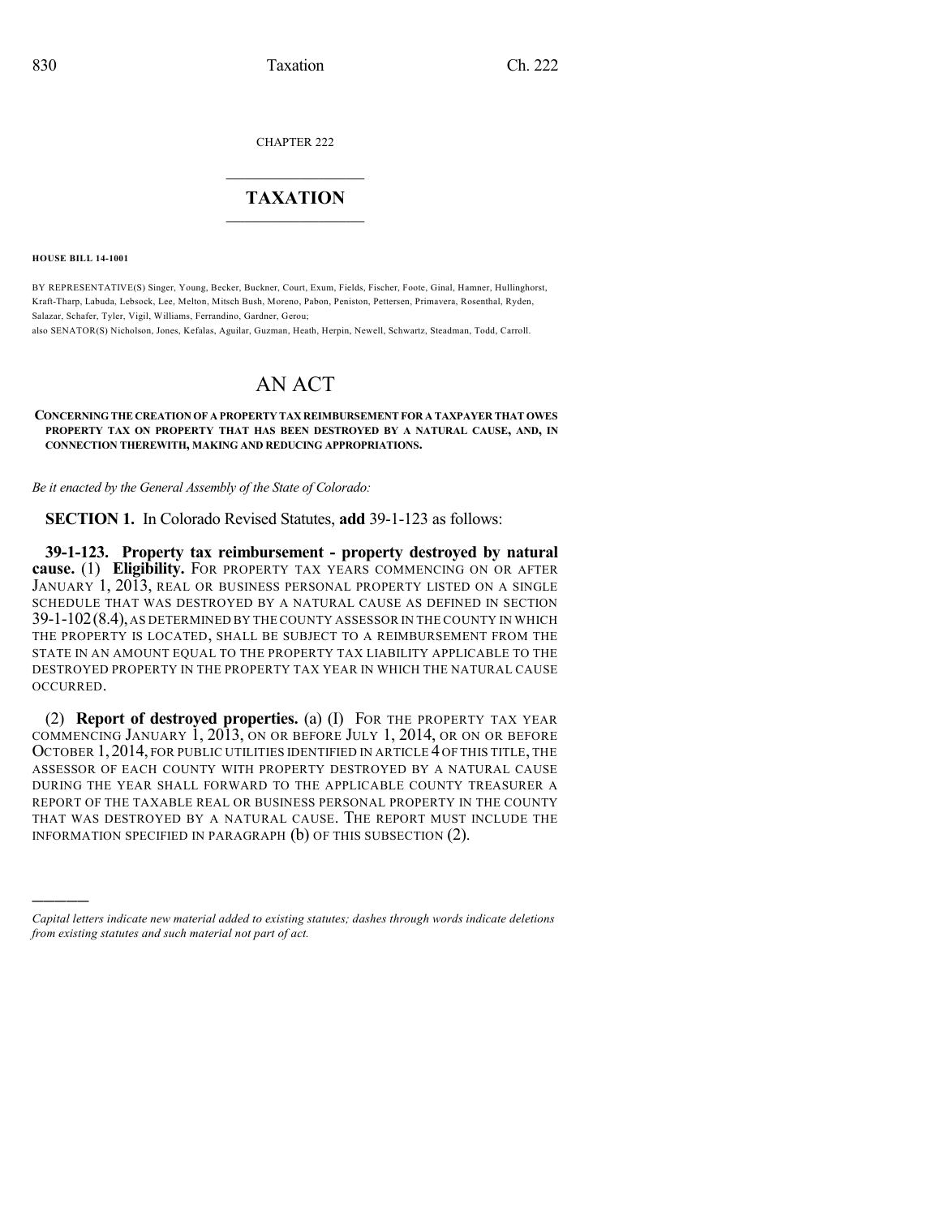CHAPTER 222

## $\overline{\phantom{a}}$  . The set of the set of the set of the set of the set of the set of the set of the set of the set of the set of the set of the set of the set of the set of the set of the set of the set of the set of the set o **TAXATION**  $\_$

**HOUSE BILL 14-1001**

)))))

BY REPRESENTATIVE(S) Singer, Young, Becker, Buckner, Court, Exum, Fields, Fischer, Foote, Ginal, Hamner, Hullinghorst, Kraft-Tharp, Labuda, Lebsock, Lee, Melton, Mitsch Bush, Moreno, Pabon, Peniston, Pettersen, Primavera, Rosenthal, Ryden, Salazar, Schafer, Tyler, Vigil, Williams, Ferrandino, Gardner, Gerou;

also SENATOR(S) Nicholson, Jones, Kefalas, Aguilar, Guzman, Heath, Herpin, Newell, Schwartz, Steadman, Todd, Carroll.

# AN ACT

#### **CONCERNING THE CREATION OF A PROPERTY TAX REIMBURSEMENT FOR A TAXPAYER THAT OWES PROPERTY TAX ON PROPERTY THAT HAS BEEN DESTROYED BY A NATURAL CAUSE, AND, IN CONNECTION THEREWITH, MAKING AND REDUCING APPROPRIATIONS.**

*Be it enacted by the General Assembly of the State of Colorado:*

**SECTION 1.** In Colorado Revised Statutes, **add** 39-1-123 as follows:

**39-1-123. Property tax reimbursement - property destroyed by natural cause.** (1) **Eligibility.** FOR PROPERTY TAX YEARS COMMENCING ON OR AFTER JANUARY 1, 2013, REAL OR BUSINESS PERSONAL PROPERTY LISTED ON A SINGLE SCHEDULE THAT WAS DESTROYED BY A NATURAL CAUSE AS DEFINED IN SECTION 39-1-102(8.4),AS DETERMINED BY THE COUNTY ASSESSOR IN THE COUNTY IN WHICH THE PROPERTY IS LOCATED, SHALL BE SUBJECT TO A REIMBURSEMENT FROM THE STATE IN AN AMOUNT EQUAL TO THE PROPERTY TAX LIABILITY APPLICABLE TO THE DESTROYED PROPERTY IN THE PROPERTY TAX YEAR IN WHICH THE NATURAL CAUSE OCCURRED.

(2) **Report of destroyed properties.** (a) (I) FOR THE PROPERTY TAX YEAR COMMENCING JANUARY 1, 2013, ON OR BEFORE JULY 1, 2014, OR ON OR BEFORE OCTOBER 1, 2014, FOR PUBLIC UTILITIES IDENTIFIED IN ARTICLE 4 OF THIS TITLE, THE ASSESSOR OF EACH COUNTY WITH PROPERTY DESTROYED BY A NATURAL CAUSE DURING THE YEAR SHALL FORWARD TO THE APPLICABLE COUNTY TREASURER A REPORT OF THE TAXABLE REAL OR BUSINESS PERSONAL PROPERTY IN THE COUNTY THAT WAS DESTROYED BY A NATURAL CAUSE. THE REPORT MUST INCLUDE THE INFORMATION SPECIFIED IN PARAGRAPH (b) OF THIS SUBSECTION (2).

*Capital letters indicate new material added to existing statutes; dashes through words indicate deletions from existing statutes and such material not part of act.*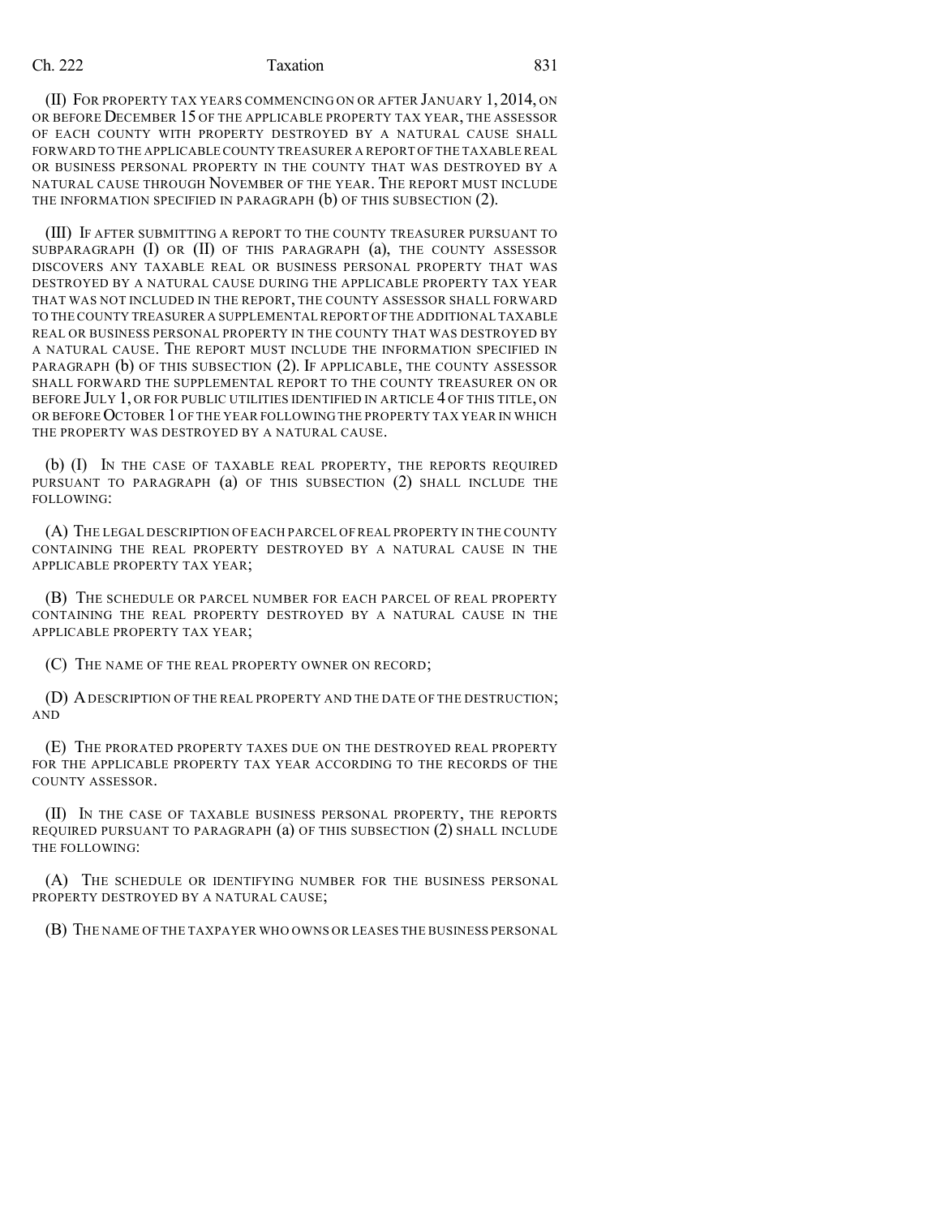## Ch. 222 **Taxation** 831

(II) FOR PROPERTY TAX YEARS COMMENCING ON OR AFTER JANUARY 1, 2014, ON OR BEFORE DECEMBER 15 OF THE APPLICABLE PROPERTY TAX YEAR, THE ASSESSOR OF EACH COUNTY WITH PROPERTY DESTROYED BY A NATURAL CAUSE SHALL FORWARD TO THE APPLICABLE COUNTY TREASURER A REPORT OFTHE TAXABLE REAL OR BUSINESS PERSONAL PROPERTY IN THE COUNTY THAT WAS DESTROYED BY A NATURAL CAUSE THROUGH NOVEMBER OF THE YEAR. THE REPORT MUST INCLUDE THE INFORMATION SPECIFIED IN PARAGRAPH (b) OF THIS SUBSECTION (2).

(III) IF AFTER SUBMITTING A REPORT TO THE COUNTY TREASURER PURSUANT TO SUBPARAGRAPH (I) OR (II) OF THIS PARAGRAPH (a), THE COUNTY ASSESSOR DISCOVERS ANY TAXABLE REAL OR BUSINESS PERSONAL PROPERTY THAT WAS DESTROYED BY A NATURAL CAUSE DURING THE APPLICABLE PROPERTY TAX YEAR THAT WAS NOT INCLUDED IN THE REPORT, THE COUNTY ASSESSOR SHALL FORWARD TO THECOUNTY TREASURER A SUPPLEMENTALREPORT OF THE ADDITIONAL TAXABLE REAL OR BUSINESS PERSONAL PROPERTY IN THE COUNTY THAT WAS DESTROYED BY A NATURAL CAUSE. THE REPORT MUST INCLUDE THE INFORMATION SPECIFIED IN PARAGRAPH (b) OF THIS SUBSECTION (2). IF APPLICABLE, THE COUNTY ASSESSOR SHALL FORWARD THE SUPPLEMENTAL REPORT TO THE COUNTY TREASURER ON OR BEFORE JULY 1, OR FOR PUBLIC UTILITIES IDENTIFIED IN ARTICLE 4 OF THIS TITLE, ON OR BEFORE OCTOBER 1 OF THE YEAR FOLLOWING THE PROPERTY TAX YEAR IN WHICH THE PROPERTY WAS DESTROYED BY A NATURAL CAUSE.

(b) (I) IN THE CASE OF TAXABLE REAL PROPERTY, THE REPORTS REQUIRED PURSUANT TO PARAGRAPH (a) OF THIS SUBSECTION (2) SHALL INCLUDE THE FOLLOWING:

(A) THE LEGAL DESCRIPTION OF EACH PARCEL OF REAL PROPERTY IN THE COUNTY CONTAINING THE REAL PROPERTY DESTROYED BY A NATURAL CAUSE IN THE APPLICABLE PROPERTY TAX YEAR;

(B) THE SCHEDULE OR PARCEL NUMBER FOR EACH PARCEL OF REAL PROPERTY CONTAINING THE REAL PROPERTY DESTROYED BY A NATURAL CAUSE IN THE APPLICABLE PROPERTY TAX YEAR;

(C) THE NAME OF THE REAL PROPERTY OWNER ON RECORD;

(D) ADESCRIPTION OF THE REAL PROPERTY AND THE DATE OF THE DESTRUCTION; AND

(E) THE PRORATED PROPERTY TAXES DUE ON THE DESTROYED REAL PROPERTY FOR THE APPLICABLE PROPERTY TAX YEAR ACCORDING TO THE RECORDS OF THE COUNTY ASSESSOR.

(II) IN THE CASE OF TAXABLE BUSINESS PERSONAL PROPERTY, THE REPORTS REQUIRED PURSUANT TO PARAGRAPH (a) OF THIS SUBSECTION (2) SHALL INCLUDE THE FOLLOWING:

(A) THE SCHEDULE OR IDENTIFYING NUMBER FOR THE BUSINESS PERSONAL PROPERTY DESTROYED BY A NATURAL CAUSE;

(B) THE NAME OF THE TAXPAYER WHO OWNS OR LEASES THE BUSINESS PERSONAL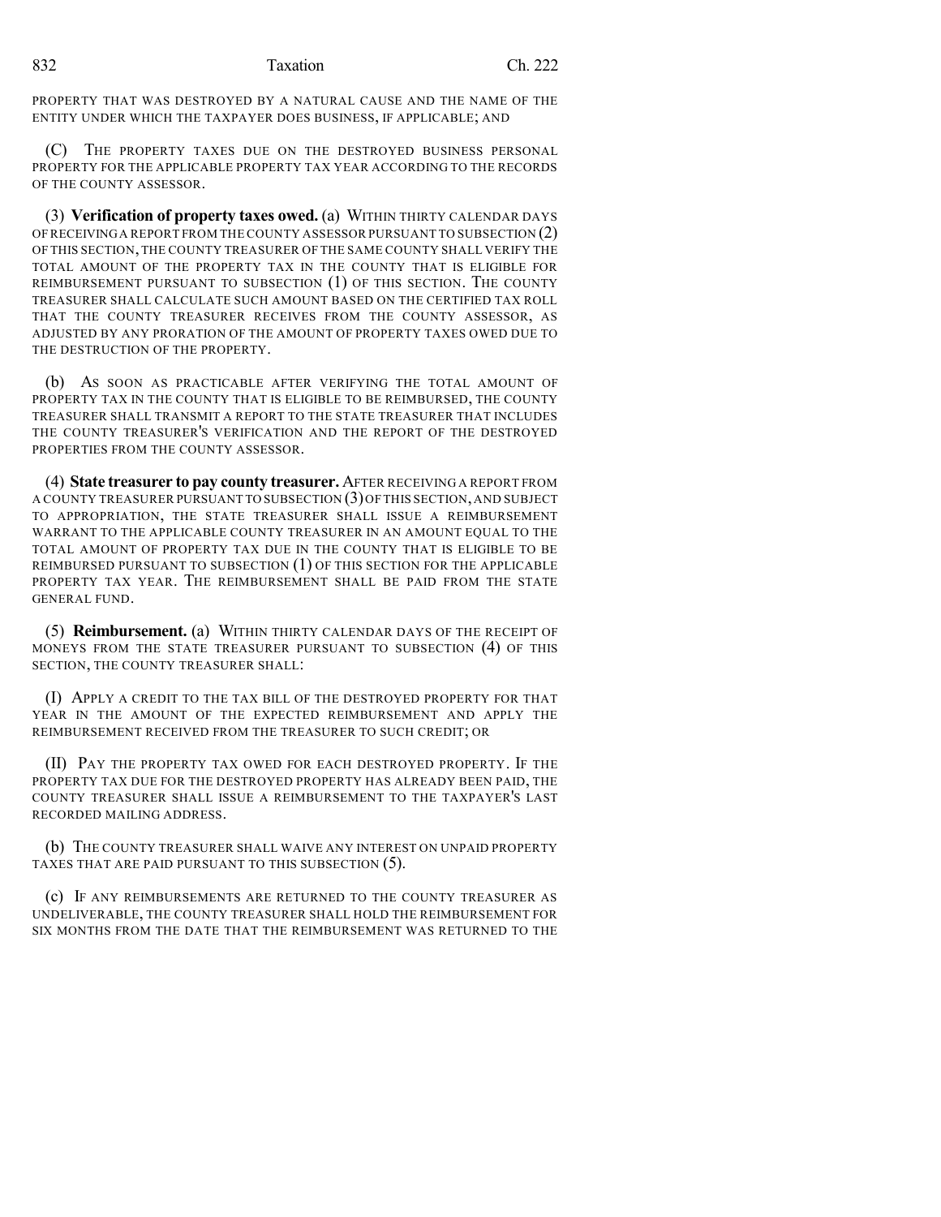PROPERTY THAT WAS DESTROYED BY A NATURAL CAUSE AND THE NAME OF THE ENTITY UNDER WHICH THE TAXPAYER DOES BUSINESS, IF APPLICABLE; AND

(C) THE PROPERTY TAXES DUE ON THE DESTROYED BUSINESS PERSONAL PROPERTY FOR THE APPLICABLE PROPERTY TAX YEAR ACCORDING TO THE RECORDS OF THE COUNTY ASSESSOR.

(3) **Verification of property taxes owed.** (a) WITHIN THIRTY CALENDAR DAYS OF RECEIVINGA REPORT FROM THE COUNTY ASSESSOR PURSUANT TO SUBSECTION (2) OF THIS SECTION,THE COUNTY TREASURER OF THE SAME COUNTY SHALL VERIFY THE TOTAL AMOUNT OF THE PROPERTY TAX IN THE COUNTY THAT IS ELIGIBLE FOR REIMBURSEMENT PURSUANT TO SUBSECTION (1) OF THIS SECTION. THE COUNTY TREASURER SHALL CALCULATE SUCH AMOUNT BASED ON THE CERTIFIED TAX ROLL THAT THE COUNTY TREASURER RECEIVES FROM THE COUNTY ASSESSOR, AS ADJUSTED BY ANY PRORATION OF THE AMOUNT OF PROPERTY TAXES OWED DUE TO THE DESTRUCTION OF THE PROPERTY.

(b) AS SOON AS PRACTICABLE AFTER VERIFYING THE TOTAL AMOUNT OF PROPERTY TAX IN THE COUNTY THAT IS ELIGIBLE TO BE REIMBURSED, THE COUNTY TREASURER SHALL TRANSMIT A REPORT TO THE STATE TREASURER THAT INCLUDES THE COUNTY TREASURER'S VERIFICATION AND THE REPORT OF THE DESTROYED PROPERTIES FROM THE COUNTY ASSESSOR.

(4) **State treasurer to pay county treasurer.** AFTER RECEIVING A REPORT FROM A COUNTY TREASURER PURSUANT TO SUBSECTION (3)OFTHIS SECTION,AND SUBJECT TO APPROPRIATION, THE STATE TREASURER SHALL ISSUE A REIMBURSEMENT WARRANT TO THE APPLICABLE COUNTY TREASURER IN AN AMOUNT EQUAL TO THE TOTAL AMOUNT OF PROPERTY TAX DUE IN THE COUNTY THAT IS ELIGIBLE TO BE REIMBURSED PURSUANT TO SUBSECTION (1) OF THIS SECTION FOR THE APPLICABLE PROPERTY TAX YEAR. THE REIMBURSEMENT SHALL BE PAID FROM THE STATE GENERAL FUND.

(5) **Reimbursement.** (a) WITHIN THIRTY CALENDAR DAYS OF THE RECEIPT OF MONEYS FROM THE STATE TREASURER PURSUANT TO SUBSECTION (4) OF THIS SECTION, THE COUNTY TREASURER SHALL:

(I) APPLY A CREDIT TO THE TAX BILL OF THE DESTROYED PROPERTY FOR THAT YEAR IN THE AMOUNT OF THE EXPECTED REIMBURSEMENT AND APPLY THE REIMBURSEMENT RECEIVED FROM THE TREASURER TO SUCH CREDIT; OR

(II) PAY THE PROPERTY TAX OWED FOR EACH DESTROYED PROPERTY. IF THE PROPERTY TAX DUE FOR THE DESTROYED PROPERTY HAS ALREADY BEEN PAID, THE COUNTY TREASURER SHALL ISSUE A REIMBURSEMENT TO THE TAXPAYER'S LAST RECORDED MAILING ADDRESS.

(b) THE COUNTY TREASURER SHALL WAIVE ANY INTEREST ON UNPAID PROPERTY TAXES THAT ARE PAID PURSUANT TO THIS SUBSECTION (5).

(c) IF ANY REIMBURSEMENTS ARE RETURNED TO THE COUNTY TREASURER AS UNDELIVERABLE, THE COUNTY TREASURER SHALL HOLD THE REIMBURSEMENT FOR SIX MONTHS FROM THE DATE THAT THE REIMBURSEMENT WAS RETURNED TO THE